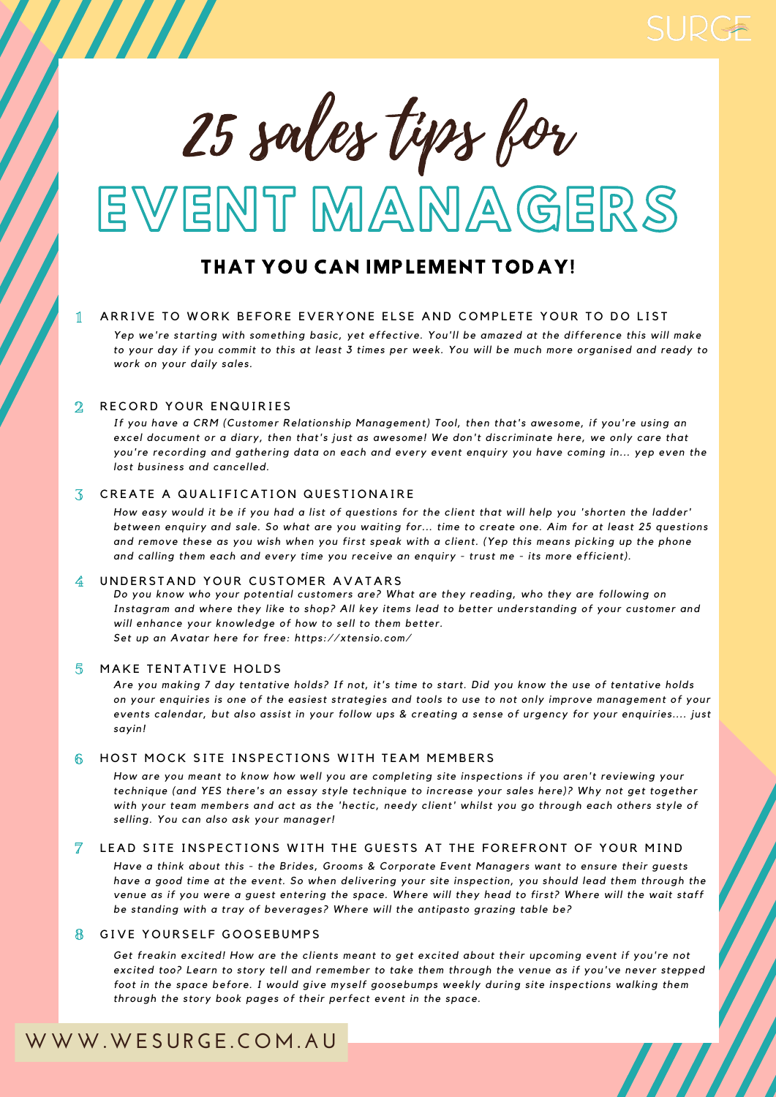

# ENT MANNAGERS 25 sales tips b

# **WWW.WESURGE.C OM. A U**

## THAT YOU CAN IMPLEMENT TODAY!

## 1 ARRIVE TO WORK BEFORE EVERYONE ELSE AND COMPLETE YOUR TO DO LIST

Yep we're starting with something basic, yet effective. You'll be amazed at the difference this will make to your day if you commit to this at least 3 times per week. You will be much more organised and ready to *work on your dai ly sales.*

#### RECORD YOUR ENQUIRIES  $\mathbf{2}$

*If you have a CRM (Customer Relationship Management) Tool, then that's awesome, if you're using an* excel document or a diary, then that's just as awesome! We don't discriminate here, we only care that you're recording and gathering data on each and every event enquiry you have coming in... yep even the *lost business and cancel led.*

Are you making 7 day tentative holds? If not, it's time to start. Did you know the use of tentative holds on your enquiries is one of the easiest strategies and tools to use to not only improve management of your events calendar, but also assist in your follow ups & creating a sense of urgency for your enquiries.... just *sayin!*

## HOST MOCK SITE INSPECTIONS WITH TEAM MEMBERS  $66$

How are you meant to know how well you are completing site inspections if you aren't reviewing your *technique (and YES there's an essay style technique to increase your sales here)? Why not get together* with your team members and act as the 'hectic, needy client' whilst you go through each others style of *sel l ing. You can also ask your manager!*

Have a think about this - the Brides, Grooms & Corporate Event Managers want to ensure their guests have a good time at the event. So when delivering your site inspection, you should lead them through the venue as if you were a guest entering the space. Where will they head to first? Where will the wait staff *be standing with a tray of beverages? Where wi l l the antipasto grazing table be?*

## GIVE YOURSELF GOOSEBUMPS  $\mathbb{R}$

Get freakin excited! How are the clients meant to get excited about their upcoming event if you're not excited too? Learn to story tell and remember to take them through the venue as if you've never stepped *foot in the space before. I would give myself goosebumps weekly during site inspections walking them through the story book pages of their perfect event in the space.*

## CREATE A QUALIFICATION QUESTIONAIRE 3

How easy would it be if you had a list of questions for the client that will help you 'shorten the ladder' between enquiry and sale. So what are you waiting for... time to create one. Aim for at least 25 questions and remove these as you wish when you first speak with a client. (Yep this means picking up the phone and calling them each and every time you receive an enquiry - trust me - its more efficient).

## UNDERSTAND YOUR CUSTOMER AVATARS  $\frac{2}{4}$

## LEAD SITE INSPECTIONS WITH THE GUESTS AT THE FOREFRONT OF YOUR MIND 7



*Set up an Avatar here for free: https://xtensio.com/*

#### MAKE TENTATIVE HOLDS  $\overline{5}$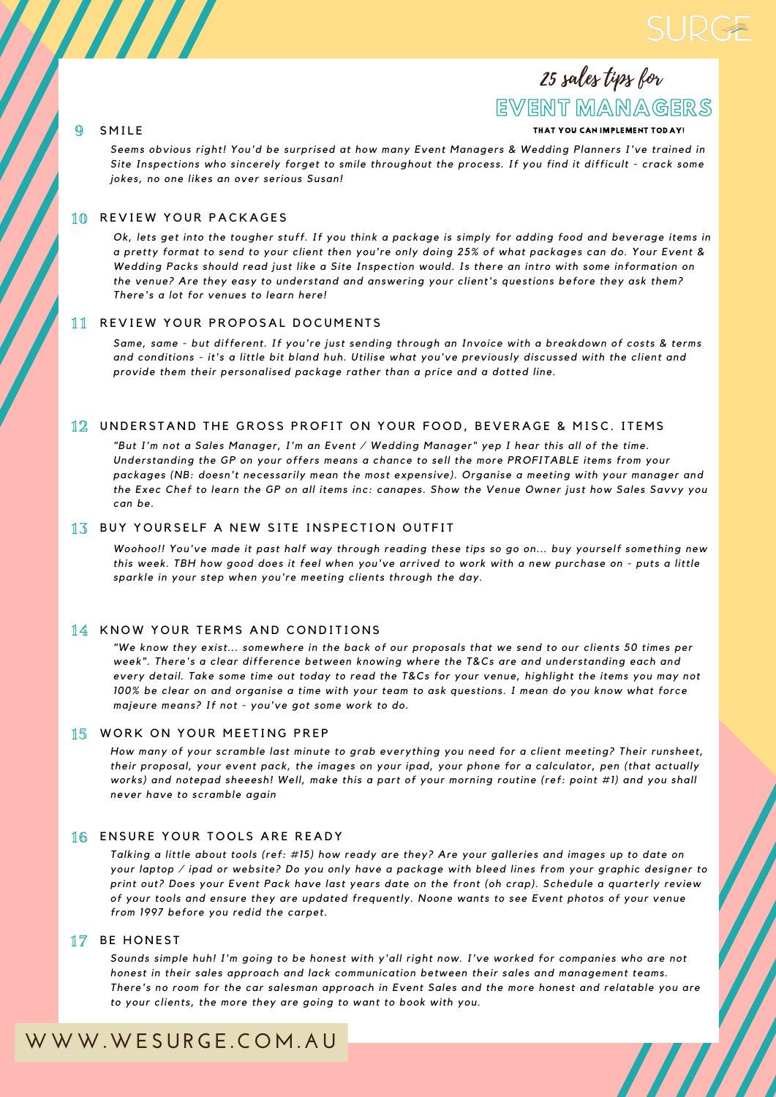## **WWW.WESURGE.C OM. A U**

EVENT MANAGERS

25 sales tips for

Ok, lets get into the tougher stuff. If you think a package is simply for adding food and beverage items in a pretty format to send to your client then you're only doing 25% of what packages can do. Your Event & Wedding Packs should read just like a Site Inspection would. Is there an intro with some information on *the venue? Are they easy to understand and answering your cl ient's questions before they ask them? There's a lot for venues to learn here!*

*Seems obvious right! You'd be surprised at how many Event Managers & Wedding Planners I've trained in* Site Inspections who sincerely forget to smile throughout the process. If you find it difficult - crack some *jokes, no one l ikes an over serious Susan!*

Same, same - but different. If you're just sending through an Invoice with a breakdown of costs & terms and conditions - it's a little bit bland huh. Utilise what you've previously discussed with the client and *provide them their personal ised package rather than a price and a dotted l ine.*

"But I'm not a Sales Manager, I'm an Event / Wedding Manager" yep I hear this all of the time. *Understanding the GP on your offers means a chance to sel l the more PROFITABLE items from your packages (NB: doesn't necessari ly mean the most expensive). Organise a meeting with your manager and* the Exec Chef to learn the GP on all items inc: canapes. Show the Venue Owner just how Sales Savvy you *can be.*

## BUY YOURSELF A NEW SITE INSPECTION OUTFIT  $1.5$

Woohoo!! You've made it past half way through reading these tips so go on... buy yourself something new this week. TBH how good does it feel when you've arrived to work with a new purchase on - puts a little *sparkle in your step when you're meeting cl ients through the day.*

## 14 KNOW YOUR TERMS AND CONDITIONS

"We know they exist... somewhere in the back of our proposals that we send to our clients 50 times per *week". There's a clear difference between knowing where the T&Cs are and understanding each and* every detail. Take some time out today to read the T&Cs for your venue, highlight the items you may not 100% be clear on and organise a time with your team to ask questions. I mean do you know what force *majeure means? If not - you've got some work to do.*

## 15 WORK ON YOUR MEETING PREP

How many of your scramble last minute to grab everything you need for a client meeting? Their runsheet, their proposal, your event pack, the images on your ipad, your phone for a calculator, pen (that actually works) and notepad sheeesh! Well, make this a part of your morning routine (ref: point #1) and you shall *never have to scramble again*

## 16 ENSURE YOUR TOOLS ARE READY

Talking a little about tools (ref: #15) how ready are they? Are your galleries and images up to date on your laptop  $\ell$  ipad or website? Do you only have a package with bleed lines from your graphic designer to print out? Does your Event Pack have last years date on the front (oh crap). Schedule a quarterly review of your tools and ensure they are updated frequently. Noone wants to see Event photos of your venue *from 1997 before you redid the carpet.*

## 17 BE HONEST

Sounds simple huh! I'm going to be honest with y'all right now. I've worked for companies who are not *honest in their sales approach and lack communication between their sales and management teams.* There's no room for the car salesman approach in Event Sales and the more honest and relatable you are *to your cl ients, the more they are going to want to book with you.*

#### REVIEW YOUR PACKAGES 10

## REVIEW YOUR PROPOSAL DOCUMENTS 11

## UNDERSTAND THE GROSS PROFIT ON YOUR FOOD, BEVERAGE & MISC. ITEMS 12

## 9

## SMILE THAT YOU CAN IMPLEMENT TODAY!